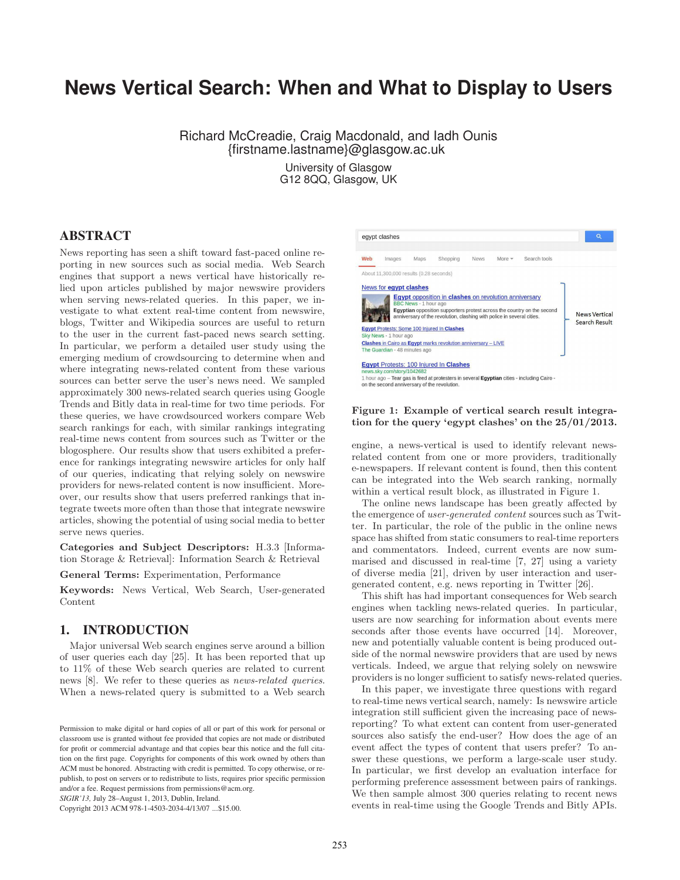# **News Vertical Search: When and What to Display to Users**

Richard McCreadie, Craig Macdonald, and Iadh Ounis {firstname.lastname}@glasgow.ac.uk

> University of Glasgow G12 8QQ, Glasgow, UK

# **ABSTRACT**

News reporting has seen a shift toward fast-paced online reporting in new sources such as social media. Web Search engines that support a news vertical have historically relied upon articles published by major newswire providers when serving news-related queries. In this paper, we investigate to what extent real-time content from newswire, blogs, Twitter and Wikipedia sources are useful to return to the user in the current fast-paced news search setting. In particular, we perform a detailed user study using the emerging medium of crowdsourcing to determine when and where integrating news-related content from these various sources can better serve the user's news need. We sampled approximately 300 news-related search queries using Google Trends and Bitly data in real-time for two time periods. For these queries, we have crowdsourced workers compare Web search rankings for each, with similar rankings integrating real-time news content from sources such as Twitter or the blogosphere. Our results show that users exhibited a preference for rankings integrating newswire articles for only half of our queries, indicating that relying solely on newswire providers for news-related content is now insufficient. Moreover, our results show that users preferred rankings that integrate tweets more often than those that integrate newswire articles, showing the potential of using social media to better serve news queries.

Categories and Subject Descriptors: H.3.3 [Information Storage & Retrieval]: Information Search & Retrieval

General Terms: Experimentation, Performance

Keywords: News Vertical, Web Search, User-generated Content

# **1. INTRODUCTION**

Major universal Web search engines serve around a billion of user queries each day [25]. It has been reported that up to 11% of these Web search queries are related to current news [8]. We refer to these queries as news-related queries. When a news-related query is submitted to a Web search

*SIGIR'13,* July 28–August 1, 2013, Dublin, Ireland.

Copyright 2013 ACM 978-1-4503-2034-4/13/07 ...\$15.00.



#### Figure 1: Example of vertical search result integration for the query 'egypt clashes' on the 25/01/2013.

engine, a news-vertical is used to identify relevant newsrelated content from one or more providers, traditionally e-newspapers. If relevant content is found, then this content can be integrated into the Web search ranking, normally within a vertical result block, as illustrated in Figure 1.

The online news landscape has been greatly affected by the emergence of user-generated content sources such as Twitter. In particular, the role of the public in the online news space has shifted from static consumers to real-time reporters and commentators. Indeed, current events are now summarised and discussed in real-time [7, 27] using a variety of diverse media [21], driven by user interaction and usergenerated content, e.g. news reporting in Twitter [26].

This shift has had important consequences for Web search engines when tackling news-related queries. In particular, users are now searching for information about events mere seconds after those events have occurred [14]. Moreover, new and potentially valuable content is being produced outside of the normal newswire providers that are used by news verticals. Indeed, we argue that relying solely on newswire providers is no longer sufficient to satisfy news-related queries.

In this paper, we investigate three questions with regard to real-time news vertical search, namely: Is newswire article integration still sufficient given the increasing pace of newsreporting? To what extent can content from user-generated sources also satisfy the end-user? How does the age of an event affect the types of content that users prefer? To answer these questions, we perform a large-scale user study. In particular, we first develop an evaluation interface for performing preference assessment between pairs of rankings. We then sample almost 300 queries relating to recent news events in real-time using the Google Trends and Bitly APIs.

Permission to make digital or hard copies of all or part of this work for personal or classroom use is granted without fee provided that copies are not made or distributed for profit or commercial advantage and that copies bear this notice and the full citation on the first page. Copyrights for components of this work owned by others than ACM must be honored. Abstracting with credit is permitted. To copy otherwise, or republish, to post on servers or to redistribute to lists, requires prior specific permission and/or a fee. Request permissions from permissions@acm.org.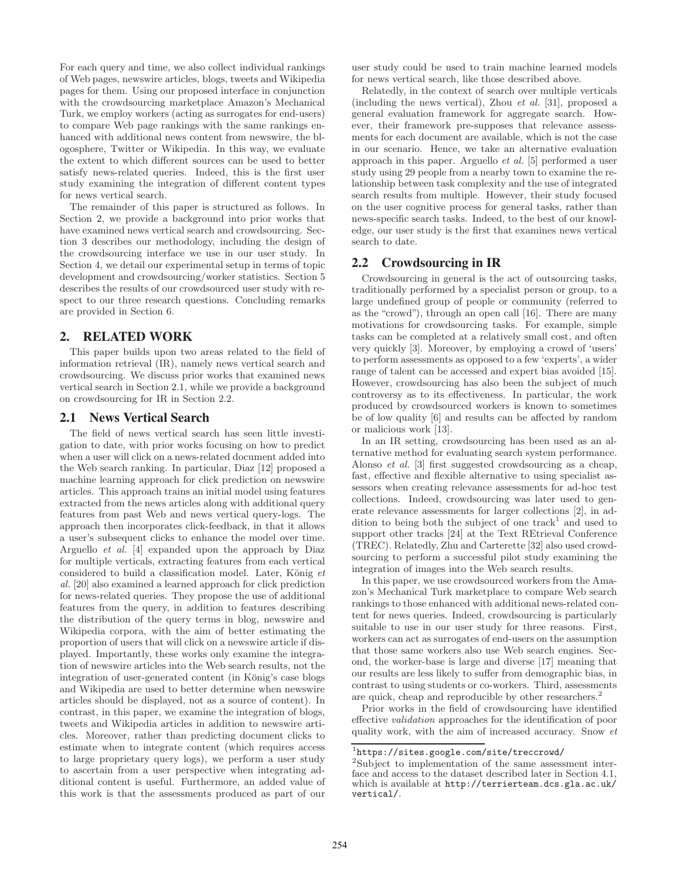For each query and time, we also collect individual rankings of Web pages, newswire articles, blogs, tweets and Wikipedia pages for them. Using our proposed interface in conjunction with the crowdsourcing marketplace Amazon's Mechanical Turk, we employ workers (acting as surrogates for end-users) to compare Web page rankings with the same rankings enhanced with additional news content from newswire, the blogosphere, Twitter or Wikipedia. In this way, we evaluate the extent to which different sources can be used to better satisfy news-related queries. Indeed, this is the first user study examining the integration of different content types for news vertical search.

The remainder of this paper is structured as follows. In Section 2, we provide a background into prior works that have examined news vertical search and crowdsourcing. Section 3 describes our methodology, including the design of the crowdsourcing interface we use in our user study. In Section 4, we detail our experimental setup in terms of topic development and crowdsourcing/worker statistics. Section 5 describes the results of our crowdsourced user study with respect to our three research questions. Concluding remarks are provided in Section 6.

# **2. RELATED WORK**

This paper builds upon two areas related to the field of information retrieval (IR), namely news vertical search and crowdsourcing. We discuss prior works that examined news vertical search in Section 2.1, while we provide a background on crowdsourcing for IR in Section 2.2.

#### **2.1 News Vertical Search**

The field of news vertical search has seen little investigation to date, with prior works focusing on how to predict when a user will click on a news-related document added into the Web search ranking. In particular, Diaz [12] proposed a machine learning approach for click prediction on newswire articles. This approach trains an initial model using features extracted from the news articles along with additional query features from past Web and news vertical query-logs. The approach then incorporates click-feedback, in that it allows a user's subsequent clicks to enhance the model over time. Arguello et al. [4] expanded upon the approach by Diaz for multiple verticals, extracting features from each vertical considered to build a classification model. Later, König  $et$ al. [20] also examined a learned approach for click prediction for news-related queries. They propose the use of additional features from the query, in addition to features describing the distribution of the query terms in blog, newswire and Wikipedia corpora, with the aim of better estimating the proportion of users that will click on a newswire article if displayed. Importantly, these works only examine the integration of newswire articles into the Web search results, not the integration of user-generated content (in König's case blogs and Wikipedia are used to better determine when newswire articles should be displayed, not as a source of content). In contrast, in this paper, we examine the integration of blogs, tweets and Wikipedia articles in addition to newswire articles. Moreover, rather than predicting document clicks to estimate when to integrate content (which requires access to large proprietary query logs), we perform a user study to ascertain from a user perspective when integrating additional content is useful. Furthermore, an added value of this work is that the assessments produced as part of our

user study could be used to train machine learned models for news vertical search, like those described above.

Relatedly, in the context of search over multiple verticals (including the news vertical), Zhou et al. [31], proposed a general evaluation framework for aggregate search. However, their framework pre-supposes that relevance assessments for each document are available, which is not the case in our scenario. Hence, we take an alternative evaluation approach in this paper. Arguello et al. [5] performed a user study using 29 people from a nearby town to examine the relationship between task complexity and the use of integrated search results from multiple. However, their study focused on the user cognitive process for general tasks, rather than news-specific search tasks. Indeed, to the best of our knowledge, our user study is the first that examines news vertical search to date.

## **2.2 Crowdsourcing in IR**

Crowdsourcing in general is the act of outsourcing tasks, traditionally performed by a specialist person or group, to a large undefined group of people or community (referred to as the "crowd"), through an open call [16]. There are many motivations for crowdsourcing tasks. For example, simple tasks can be completed at a relatively small cost, and often very quickly [3]. Moreover, by employing a crowd of 'users' to perform assessments as opposed to a few 'experts', a wider range of talent can be accessed and expert bias avoided [15]. However, crowdsourcing has also been the subject of much controversy as to its effectiveness. In particular, the work produced by crowdsourced workers is known to sometimes be of low quality [6] and results can be affected by random or malicious work [13].

In an IR setting, crowdsourcing has been used as an alternative method for evaluating search system performance. Alonso et al. [3] first suggested crowdsourcing as a cheap, fast, effective and flexible alternative to using specialist assessors when creating relevance assessments for ad-hoc test collections. Indeed, crowdsourcing was later used to generate relevance assessments for larger collections [2], in addition to being both the subject of one track<sup>1</sup> and used to support other tracks [24] at the Text REtrieval Conference (TREC). Relatedly, Zhu and Carterette [32] also used crowdsourcing to perform a successful pilot study examining the integration of images into the Web search results.

In this paper, we use crowdsourced workers from the Amazon's Mechanical Turk marketplace to compare Web search rankings to those enhanced with additional news-related content for news queries. Indeed, crowdsourcing is particularly suitable to use in our user study for three reasons. First, workers can act as surrogates of end-users on the assumption that those same workers also use Web search engines. Second, the worker-base is large and diverse [17] meaning that our results are less likely to suffer from demographic bias, in contrast to using students or co-workers. Third, assessments are quick, cheap and reproducible by other researchers.<sup>2</sup>

Prior works in the field of crowdsourcing have identified effective validation approaches for the identification of poor quality work, with the aim of increased accuracy. Snow et

<sup>1</sup> https://sites.google.com/site/treccrowd/

<sup>2</sup>Subject to implementation of the same assessment interface and access to the dataset described later in Section 4.1, which is available at http://terrierteam.dcs.gla.ac.uk/ vertical/.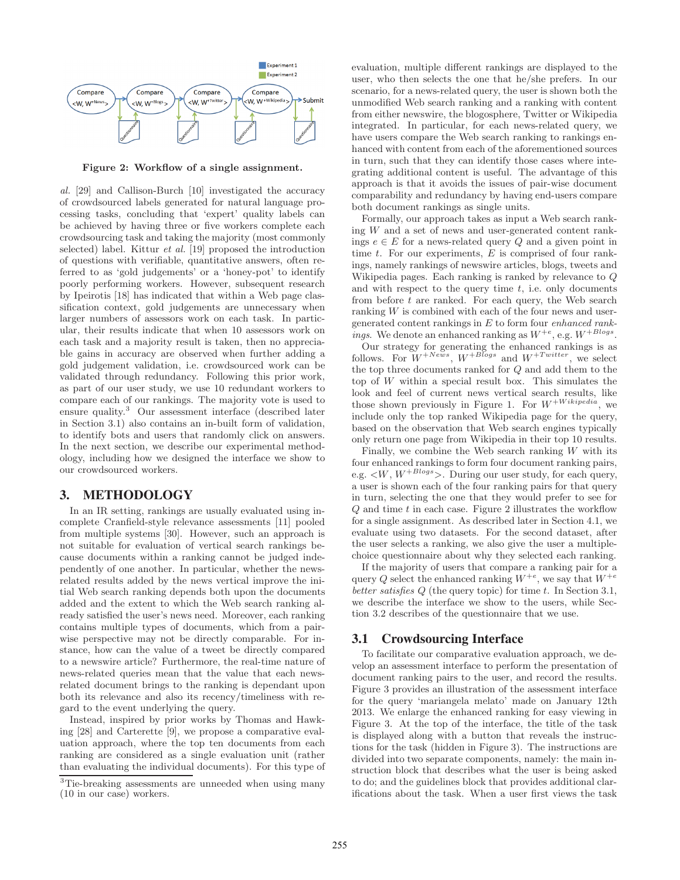

Figure 2: Workflow of a single assignment.

al. [29] and Callison-Burch [10] investigated the accuracy of crowdsourced labels generated for natural language processing tasks, concluding that 'expert' quality labels can be achieved by having three or five workers complete each crowdsourcing task and taking the majority (most commonly selected) label. Kittur et al. [19] proposed the introduction of questions with verifiable, quantitative answers, often referred to as 'gold judgements' or a 'honey-pot' to identify poorly performing workers. However, subsequent research by Ipeirotis [18] has indicated that within a Web page classification context, gold judgements are unnecessary when larger numbers of assessors work on each task. In particular, their results indicate that when 10 assessors work on each task and a majority result is taken, then no appreciable gains in accuracy are observed when further adding a gold judgement validation, i.e. crowdsourced work can be validated through redundancy. Following this prior work, as part of our user study, we use 10 redundant workers to compare each of our rankings. The majority vote is used to ensure quality.<sup>3</sup> Our assessment interface (described later in Section 3.1) also contains an in-built form of validation, to identify bots and users that randomly click on answers. In the next section, we describe our experimental methodology, including how we designed the interface we show to our crowdsourced workers.

## **3. METHODOLOGY**

In an IR setting, rankings are usually evaluated using incomplete Cranfield-style relevance assessments [11] pooled from multiple systems [30]. However, such an approach is not suitable for evaluation of vertical search rankings because documents within a ranking cannot be judged independently of one another. In particular, whether the newsrelated results added by the news vertical improve the initial Web search ranking depends both upon the documents added and the extent to which the Web search ranking already satisfied the user's news need. Moreover, each ranking contains multiple types of documents, which from a pairwise perspective may not be directly comparable. For instance, how can the value of a tweet be directly compared to a newswire article? Furthermore, the real-time nature of news-related queries mean that the value that each newsrelated document brings to the ranking is dependant upon both its relevance and also its recency/timeliness with regard to the event underlying the query.

Instead, inspired by prior works by Thomas and Hawking [28] and Carterette [9], we propose a comparative evaluation approach, where the top ten documents from each ranking are considered as a single evaluation unit (rather than evaluating the individual documents). For this type of evaluation, multiple different rankings are displayed to the user, who then selects the one that he/she prefers. In our scenario, for a news-related query, the user is shown both the unmodified Web search ranking and a ranking with content from either newswire, the blogosphere, Twitter or Wikipedia integrated. In particular, for each news-related query, we have users compare the Web search ranking to rankings enhanced with content from each of the aforementioned sources in turn, such that they can identify those cases where integrating additional content is useful. The advantage of this approach is that it avoids the issues of pair-wise document comparability and redundancy by having end-users compare both document rankings as single units.

Formally, our approach takes as input a Web search ranking W and a set of news and user-generated content rankings  $e \in E$  for a news-related query Q and a given point in time  $t$ . For our experiments,  $E$  is comprised of four rankings, namely rankings of newswire articles, blogs, tweets and Wikipedia pages. Each ranking is ranked by relevance to Q and with respect to the query time  $t$ , i.e. only documents from before  $t$  are ranked. For each query, the Web search ranking W is combined with each of the four news and usergenerated content rankings in E to form four enhanced rankings. We denote an enhanced ranking as  $W^{+e}$ , e.g.  $W^{+Blogs}$ .

Our strategy for generating the enhanced rankings is as follows. For  $W^{+News}$ ,  $W^{+Blogs}$  and  $W^{+Twtiter}$ , we select the top three documents ranked for Q and add them to the top of  $W$  within a special result box. This simulates the look and feel of current news vertical search results, like those shown previously in Figure 1. For  $W^{+Wikipedia}$ , we include only the top ranked Wikipedia page for the query, based on the observation that Web search engines typically only return one page from Wikipedia in their top 10 results.

Finally, we combine the Web search ranking  $W$  with its four enhanced rankings to form four document ranking pairs, e.g.  $\lt W$ ,  $W^{+Blogs}$  $>$ . During our user study, for each query, a user is shown each of the four ranking pairs for that query in turn, selecting the one that they would prefer to see for Q and time t in each case. Figure 2 illustrates the workflow for a single assignment. As described later in Section 4.1, we evaluate using two datasets. For the second dataset, after the user selects a ranking, we also give the user a multiplechoice questionnaire about why they selected each ranking.

If the majority of users that compare a ranking pair for a query Q select the enhanced ranking  $W^{+e}$ , we say that  $W^{+e}$ better satisfies  $Q$  (the query topic) for time t. In Section 3.1, we describe the interface we show to the users, while Section 3.2 describes of the questionnaire that we use.

#### **3.1 Crowdsourcing Interface**

To facilitate our comparative evaluation approach, we develop an assessment interface to perform the presentation of document ranking pairs to the user, and record the results. Figure 3 provides an illustration of the assessment interface for the query 'mariangela melato' made on January 12th 2013. We enlarge the enhanced ranking for easy viewing in Figure 3. At the top of the interface, the title of the task is displayed along with a button that reveals the instructions for the task (hidden in Figure 3). The instructions are divided into two separate components, namely: the main instruction block that describes what the user is being asked to do; and the guidelines block that provides additional clarifications about the task. When a user first views the task

<sup>3</sup>Tie-breaking assessments are unneeded when using many (10 in our case) workers.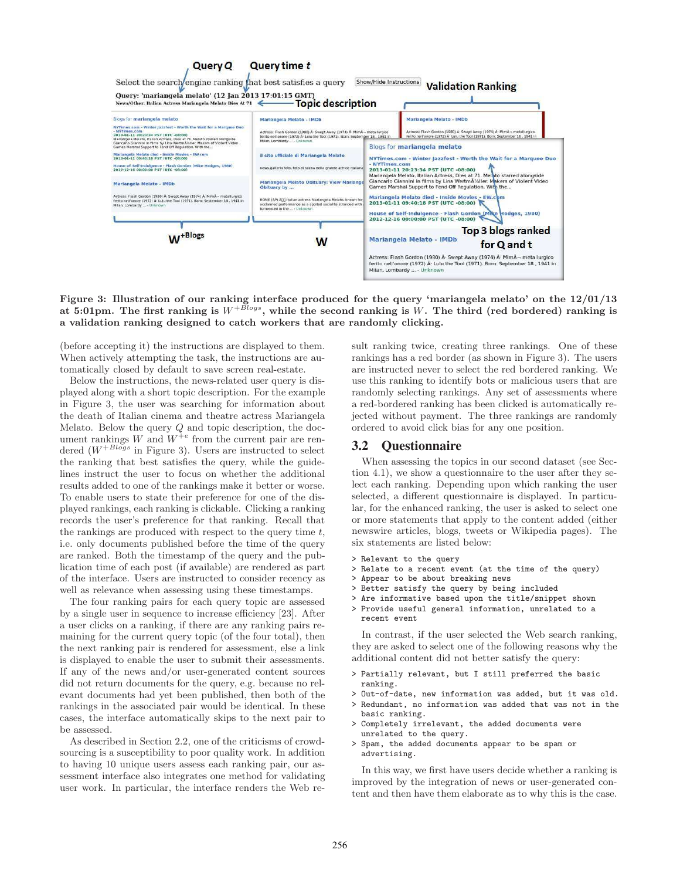

Figure 3: Illustration of our ranking interface produced for the query 'mariangela melato' on the  $12/01/13$ at 5:01pm. The first ranking is  $W^{+\overline{B}logs}$ , while the second ranking is W. The third (red bordered) ranking is a validation ranking designed to catch workers that are randomly clicking.

(before accepting it) the instructions are displayed to them. When actively attempting the task, the instructions are automatically closed by default to save screen real-estate.

Below the instructions, the news-related user query is displayed along with a short topic description. For the example in Figure 3, the user was searching for information about the death of Italian cinema and theatre actress Mariangela Melato. Below the query Q and topic description, the document rankings W and  $W^{+e}$  from the current pair are rendered  $(W^{+Blogs}$  in Figure 3). Users are instructed to select the ranking that best satisfies the query, while the guidelines instruct the user to focus on whether the additional results added to one of the rankings make it better or worse. To enable users to state their preference for one of the displayed rankings, each ranking is clickable. Clicking a ranking records the user's preference for that ranking. Recall that the rankings are produced with respect to the query time  $t$ , i.e. only documents published before the time of the query are ranked. Both the timestamp of the query and the publication time of each post (if available) are rendered as part of the interface. Users are instructed to consider recency as well as relevance when assessing using these timestamps.

The four ranking pairs for each query topic are assessed by a single user in sequence to increase efficiency [23]. After a user clicks on a ranking, if there are any ranking pairs remaining for the current query topic (of the four total), then the next ranking pair is rendered for assessment, else a link is displayed to enable the user to submit their assessments. If any of the news and/or user-generated content sources did not return documents for the query, e.g. because no relevant documents had yet been published, then both of the rankings in the associated pair would be identical. In these cases, the interface automatically skips to the next pair to be assessed.

As described in Section 2.2, one of the criticisms of crowdsourcing is a susceptibility to poor quality work. In addition to having 10 unique users assess each ranking pair, our assessment interface also integrates one method for validating user work. In particular, the interface renders the Web result ranking twice, creating three rankings. One of these rankings has a red border (as shown in Figure 3). The users are instructed never to select the red bordered ranking. We use this ranking to identify bots or malicious users that are randomly selecting rankings. Any set of assessments where a red-bordered ranking has been clicked is automatically rejected without payment. The three rankings are randomly ordered to avoid click bias for any one position.

# **3.2 Questionnaire**

When assessing the topics in our second dataset (see Section 4.1), we show a questionnaire to the user after they select each ranking. Depending upon which ranking the user selected, a different questionnaire is displayed. In particular, for the enhanced ranking, the user is asked to select one or more statements that apply to the content added (either newswire articles, blogs, tweets or Wikipedia pages). The six statements are listed below:

- > Relevant to the query
- > Relate to a recent event (at the time of the query)
- > Appear to be about breaking news
- > Better satisfy the query by being included
- > Are informative based upon the title/snippet shown
- > Provide useful general information, unrelated to a recent event

In contrast, if the user selected the Web search ranking, they are asked to select one of the following reasons why the additional content did not better satisfy the query:

- > Partially relevant, but I still preferred the basic ranking.
- > Out-of-date, new information was added, but it was old. > Redundant, no information was added that was not in the
- basic ranking. > Completely irrelevant, the added documents were unrelated to the query.
- > Spam, the added documents appear to be spam or advertising.

In this way, we first have users decide whether a ranking is improved by the integration of news or user-generated content and then have them elaborate as to why this is the case.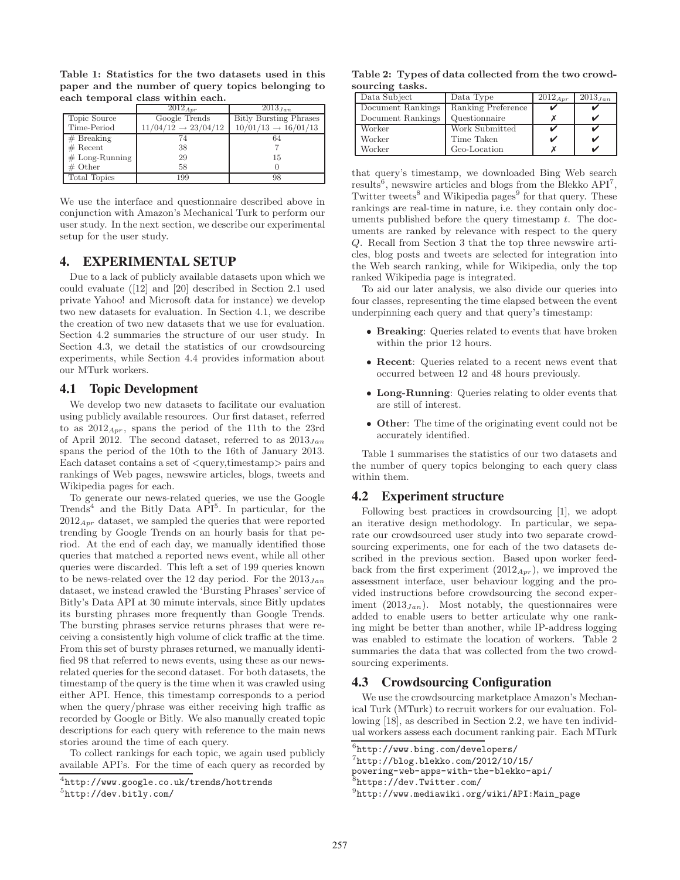Table 1: Statistics for the two datasets used in this paper and the number of query topics belonging to each temporal class within each.

|                     | $2012_{Apr}$                    | $2013_{Jan}$                    |
|---------------------|---------------------------------|---------------------------------|
| Topic Source        | Google Trends                   | <b>Bitly Bursting Phrases</b>   |
| Time-Period         | $11/04/12 \rightarrow 23/04/12$ | $10/01/13 \rightarrow 16/01/13$ |
| $#$ Breaking        | 74                              |                                 |
| $#$ Recent          | 38                              |                                 |
| $# Long-Ranning$    | 29                              | 15                              |
| $#$ Other           | 58                              |                                 |
| <b>Total Topics</b> | 199                             |                                 |

We use the interface and questionnaire described above in conjunction with Amazon's Mechanical Turk to perform our user study. In the next section, we describe our experimental setup for the user study.

# **4. EXPERIMENTAL SETUP**

Due to a lack of publicly available datasets upon which we could evaluate ([12] and [20] described in Section 2.1 used private Yahoo! and Microsoft data for instance) we develop two new datasets for evaluation. In Section 4.1, we describe the creation of two new datasets that we use for evaluation. Section 4.2 summaries the structure of our user study. In Section 4.3, we detail the statistics of our crowdsourcing experiments, while Section 4.4 provides information about our MTurk workers.

# **4.1 Topic Development**

We develop two new datasets to facilitate our evaluation using publicly available resources. Our first dataset, referred to as  $2012_{Apr}$ , spans the period of the 11th to the 23rd of April 2012. The second dataset, referred to as  $2013_{Jan}$ spans the period of the 10th to the 16th of January 2013. Each dataset contains a set of  $\langle$ query,timestamp $\rangle$  pairs and rankings of Web pages, newswire articles, blogs, tweets and Wikipedia pages for each.

To generate our news-related queries, we use the Google Trends<sup>4</sup> and the Bitly Data API<sup>5</sup>. In particular, for the  $2012_{Apr}$  dataset, we sampled the queries that were reported trending by Google Trends on an hourly basis for that period. At the end of each day, we manually identified those queries that matched a reported news event, while all other queries were discarded. This left a set of 199 queries known to be news-related over the 12 day period. For the  $2013_{Jan}$ dataset, we instead crawled the 'Bursting Phrases' service of Bitly's Data API at 30 minute intervals, since Bitly updates its bursting phrases more frequently than Google Trends. The bursting phrases service returns phrases that were receiving a consistently high volume of click traffic at the time. From this set of bursty phrases returned, we manually identified 98 that referred to news events, using these as our newsrelated queries for the second dataset. For both datasets, the timestamp of the query is the time when it was crawled using either API. Hence, this timestamp corresponds to a period when the query/phrase was either receiving high traffic as recorded by Google or Bitly. We also manually created topic descriptions for each query with reference to the main news stories around the time of each query.

To collect rankings for each topic, we again used publicly available API's. For the time of each query as recorded by

Table 2: Types of data collected from the two crowdsourcing tasks.

| Data Subject      | Data Type          | $2012_{Apr}$ | $2013_{Jan}$ |
|-------------------|--------------------|--------------|--------------|
| Document Rankings | Ranking Preference |              |              |
| Document Rankings | Questionnaire      |              |              |
| Worker            | Work Submitted     |              |              |
| Worker            | Time Taken         | v            | M            |
| Worker            | Geo-Location       |              |              |

that query's timestamp, we downloaded Bing Web search results<sup>6</sup>, newswire articles and blogs from the Blekko API<sup>7</sup>, Twitter tweets<sup>8</sup> and Wikipedia pages<sup>9</sup> for that query. These rankings are real-time in nature, i.e. they contain only documents published before the query timestamp  $t$ . The documents are ranked by relevance with respect to the query Q. Recall from Section 3 that the top three newswire articles, blog posts and tweets are selected for integration into the Web search ranking, while for Wikipedia, only the top ranked Wikipedia page is integrated.

To aid our later analysis, we also divide our queries into four classes, representing the time elapsed between the event underpinning each query and that query's timestamp:

- Breaking: Queries related to events that have broken within the prior 12 hours.
- Recent: Queries related to a recent news event that occurred between 12 and 48 hours previously.
- Long-Running: Queries relating to older events that are still of interest.
- Other: The time of the originating event could not be accurately identified.

Table 1 summarises the statistics of our two datasets and the number of query topics belonging to each query class within them.

# **4.2 Experiment structure**

Following best practices in crowdsourcing [1], we adopt an iterative design methodology. In particular, we separate our crowdsourced user study into two separate crowdsourcing experiments, one for each of the two datasets described in the previous section. Based upon worker feedback from the first experiment  $(2012_{Apr})$ , we improved the assessment interface, user behaviour logging and the provided instructions before crowdsourcing the second experiment  $(2013<sub>Jan</sub>)$ . Most notably, the questionnaires were added to enable users to better articulate why one ranking might be better than another, while IP-address logging was enabled to estimate the location of workers. Table 2 summaries the data that was collected from the two crowdsourcing experiments.

# **4.3 Crowdsourcing Configuration**

We use the crowdsourcing marketplace Amazon's Mechanical Turk (MTurk) to recruit workers for our evaluation. Following [18], as described in Section 2.2, we have ten individual workers assess each document ranking pair. Each MTurk

 $^6$ http://www.bing.com/developers/

8 https://dev.Twitter.com/

<sup>4</sup> http://www.google.co.uk/trends/hottrends

<sup>5</sup> http://dev.bitly.com/

<sup>7</sup> http://blog.blekko.com/2012/10/15/

powering-web-apps-with-the-blekko-api/

<sup>9</sup> http://www.mediawiki.org/wiki/API:Main\_page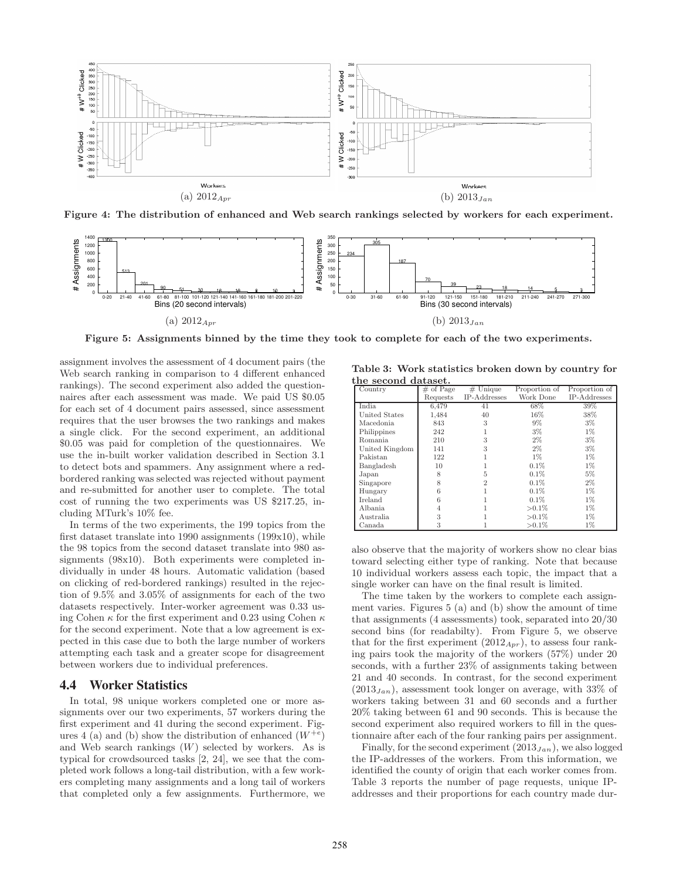

Figure 4: The distribution of enhanced and Web search rankings selected by workers for each experiment.



Figure 5: Assignments binned by the time they took to complete for each of the two experiments.

assignment involves the assessment of 4 document pairs (the Web search ranking in comparison to 4 different enhanced rankings). The second experiment also added the questionnaires after each assessment was made. We paid US \$0.05 for each set of 4 document pairs assessed, since assessment requires that the user browses the two rankings and makes a single click. For the second experiment, an additional \$0.05 was paid for completion of the questionnaires. We use the in-built worker validation described in Section 3.1 to detect bots and spammers. Any assignment where a redbordered ranking was selected was rejected without payment and re-submitted for another user to complete. The total cost of running the two experiments was US \$217.25, including MTurk's 10% fee.

In terms of the two experiments, the 199 topics from the first dataset translate into 1990 assignments (199x10), while the 98 topics from the second dataset translate into 980 assignments (98x10). Both experiments were completed individually in under 48 hours. Automatic validation (based on clicking of red-bordered rankings) resulted in the rejection of 9.5% and 3.05% of assignments for each of the two datasets respectively. Inter-worker agreement was 0.33 using Cohen  $\kappa$  for the first experiment and 0.23 using Cohen  $\kappa$ for the second experiment. Note that a low agreement is expected in this case due to both the large number of workers attempting each task and a greater scope for disagreement between workers due to individual preferences.

#### **4.4 Worker Statistics**

In total, 98 unique workers completed one or more assignments over our two experiments, 57 workers during the first experiment and 41 during the second experiment. Figures 4 (a) and (b) show the distribution of enhanced  $(W^{+e})$ and Web search rankings  $(W)$  selected by workers. As is typical for crowdsourced tasks [2, 24], we see that the completed work follows a long-tail distribution, with a few workers completing many assignments and a long tail of workers that completed only a few assignments. Furthermore, we

Table 3: Work statistics broken down by country for the second dataset.

| Country        | $#$ of Page | $#$ Unique   | Proportion of | Proportion of |  |
|----------------|-------------|--------------|---------------|---------------|--|
|                | Requests    | IP-Addresses | Work Done     | IP-Addresses  |  |
| India          | 6.479       | 41           | $68\%$        | 39%           |  |
| United States  | 1.484       | 40           | 16%           | 38%           |  |
| Macedonia      | 843         | 3            | 9%            | 3%            |  |
| Philippines    | 242         |              | 3%            | 1%            |  |
| Romania        | 210         | 3            | 2%            | 3%            |  |
| United Kingdom | 141         | 3            | 2%            | 3%            |  |
| Pakistan       | 122         |              | 1%            | 1%            |  |
| Bangladesh     | 10          |              | $0.1\%$       | 1%            |  |
| Japan          | 8           | 5            | $0.1\%$       | 5%            |  |
| Singapore      | 8           | 2            | $0.1\%$       | $2\%$         |  |
| Hungary        | 6           |              | $0.1\%$       | 1%            |  |
| Ireland        | 6           |              | $0.1\%$       | 1%            |  |
| Albania        | 4           |              | $>0.1\%$      | 1%            |  |
| Australia      | 3           |              | $>0.1\%$      | 1%            |  |
| Canada         | 3           |              | $>0.1\%$      | 1%            |  |

also observe that the majority of workers show no clear bias toward selecting either type of ranking. Note that because 10 individual workers assess each topic, the impact that a single worker can have on the final result is limited.

The time taken by the workers to complete each assignment varies. Figures 5 (a) and (b) show the amount of time that assignments (4 assessments) took, separated into 20/30 second bins (for readabilty). From Figure 5, we observe that for the first experiment  $(2012_{Apr})$ , to assess four ranking pairs took the majority of the workers (57%) under 20 seconds, with a further 23% of assignments taking between 21 and 40 seconds. In contrast, for the second experiment  $(2013<sub>Jan</sub>)$ , assessment took longer on average, with 33\% of workers taking between 31 and 60 seconds and a further 20% taking between 61 and 90 seconds. This is because the second experiment also required workers to fill in the questionnaire after each of the four ranking pairs per assignment.

Finally, for the second experiment  $(2013<sub>Jan</sub>)$ , we also logged the IP-addresses of the workers. From this information, we identified the county of origin that each worker comes from. Table 3 reports the number of page requests, unique IPaddresses and their proportions for each country made dur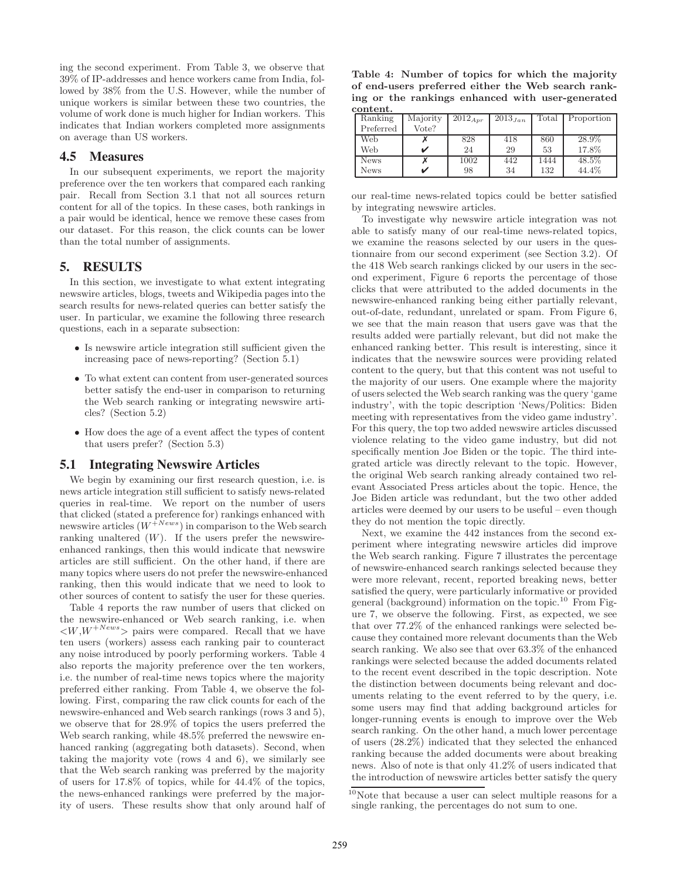ing the second experiment. From Table 3, we observe that 39% of IP-addresses and hence workers came from India, followed by 38% from the U.S. However, while the number of unique workers is similar between these two countries, the volume of work done is much higher for Indian workers. This indicates that Indian workers completed more assignments on average than US workers.

#### **4.5 Measures**

In our subsequent experiments, we report the majority preference over the ten workers that compared each ranking pair. Recall from Section 3.1 that not all sources return content for all of the topics. In these cases, both rankings in a pair would be identical, hence we remove these cases from our dataset. For this reason, the click counts can be lower than the total number of assignments.

## **5. RESULTS**

In this section, we investigate to what extent integrating newswire articles, blogs, tweets and Wikipedia pages into the search results for news-related queries can better satisfy the user. In particular, we examine the following three research questions, each in a separate subsection:

- Is newswire article integration still sufficient given the increasing pace of news-reporting? (Section 5.1)
- To what extent can content from user-generated sources better satisfy the end-user in comparison to returning the Web search ranking or integrating newswire articles? (Section 5.2)
- How does the age of a event affect the types of content that users prefer? (Section 5.3)

#### **5.1 Integrating Newswire Articles**

We begin by examining our first research question, i.e. is news article integration still sufficient to satisfy news-related queries in real-time. We report on the number of users that clicked (stated a preference for) rankings enhanced with newswire articles  $(W^{\hat{+}News})$  in comparison to the Web search ranking unaltered  $(W)$ . If the users prefer the newswireenhanced rankings, then this would indicate that newswire articles are still sufficient. On the other hand, if there are many topics where users do not prefer the newswire-enhanced ranking, then this would indicate that we need to look to other sources of content to satisfy the user for these queries.

Table 4 reports the raw number of users that clicked on the newswire-enhanced or Web search ranking, i.e. when  $\langle W, W^{+News} \rangle$  pairs were compared. Recall that we have ten users (workers) assess each ranking pair to counteract any noise introduced by poorly performing workers. Table 4 also reports the majority preference over the ten workers, i.e. the number of real-time news topics where the majority preferred either ranking. From Table 4, we observe the following. First, comparing the raw click counts for each of the newswire-enhanced and Web search rankings (rows 3 and 5), we observe that for 28.9% of topics the users preferred the Web search ranking, while  $48.5\%$  preferred the newswire enhanced ranking (aggregating both datasets). Second, when taking the majority vote (rows 4 and 6), we similarly see that the Web search ranking was preferred by the majority of users for 17.8% of topics, while for 44.4% of the topics, the news-enhanced rankings were preferred by the majority of users. These results show that only around half of

| Table 4: Number of topics for which the majority   |
|----------------------------------------------------|
| of end-users preferred either the Web search rank- |
| ing or the rankings enhanced with user-generated   |
| $\rm{content.}$                                    |

| Ranking     | Majority | $2012_{Apr}$ | $2013_{Jan}$ | Total | Proportion |
|-------------|----------|--------------|--------------|-------|------------|
| Preferred   | Vote?    |              |              |       |            |
| Web         |          | 828          | 418          | 860   | 28.9%      |
| Web         |          | 24           | 29           | 53    | 17.8%      |
| <b>News</b> |          | 1002         | 442          | 1444  | 48.5%      |
| News        |          | 98           | 34           | 132   | 44.4%      |

our real-time news-related topics could be better satisfied by integrating newswire articles.

To investigate why newswire article integration was not able to satisfy many of our real-time news-related topics, we examine the reasons selected by our users in the questionnaire from our second experiment (see Section 3.2). Of the 418 Web search rankings clicked by our users in the second experiment, Figure 6 reports the percentage of those clicks that were attributed to the added documents in the newswire-enhanced ranking being either partially relevant, out-of-date, redundant, unrelated or spam. From Figure 6, we see that the main reason that users gave was that the results added were partially relevant, but did not make the enhanced ranking better. This result is interesting, since it indicates that the newswire sources were providing related content to the query, but that this content was not useful to the majority of our users. One example where the majority of users selected the Web search ranking was the query 'game industry', with the topic description 'News/Politics: Biden meeting with representatives from the video game industry'. For this query, the top two added newswire articles discussed violence relating to the video game industry, but did not specifically mention Joe Biden or the topic. The third integrated article was directly relevant to the topic. However, the original Web search ranking already contained two relevant Associated Press articles about the topic. Hence, the Joe Biden article was redundant, but the two other added articles were deemed by our users to be useful – even though they do not mention the topic directly.

Next, we examine the 442 instances from the second experiment where integrating newswire articles did improve the Web search ranking. Figure 7 illustrates the percentage of newswire-enhanced search rankings selected because they were more relevant, recent, reported breaking news, better satisfied the query, were particularly informative or provided general (background) information on the topic.<sup>10</sup> From Figure 7, we observe the following. First, as expected, we see that over 77.2% of the enhanced rankings were selected because they contained more relevant documents than the Web search ranking. We also see that over 63.3% of the enhanced rankings were selected because the added documents related to the recent event described in the topic description. Note the distinction between documents being relevant and documents relating to the event referred to by the query, i.e. some users may find that adding background articles for longer-running events is enough to improve over the Web search ranking. On the other hand, a much lower percentage of users (28.2%) indicated that they selected the enhanced ranking because the added documents were about breaking news. Also of note is that only 41.2% of users indicated that the introduction of newswire articles better satisfy the query

 $10$ Note that because a user can select multiple reasons for a single ranking, the percentages do not sum to one.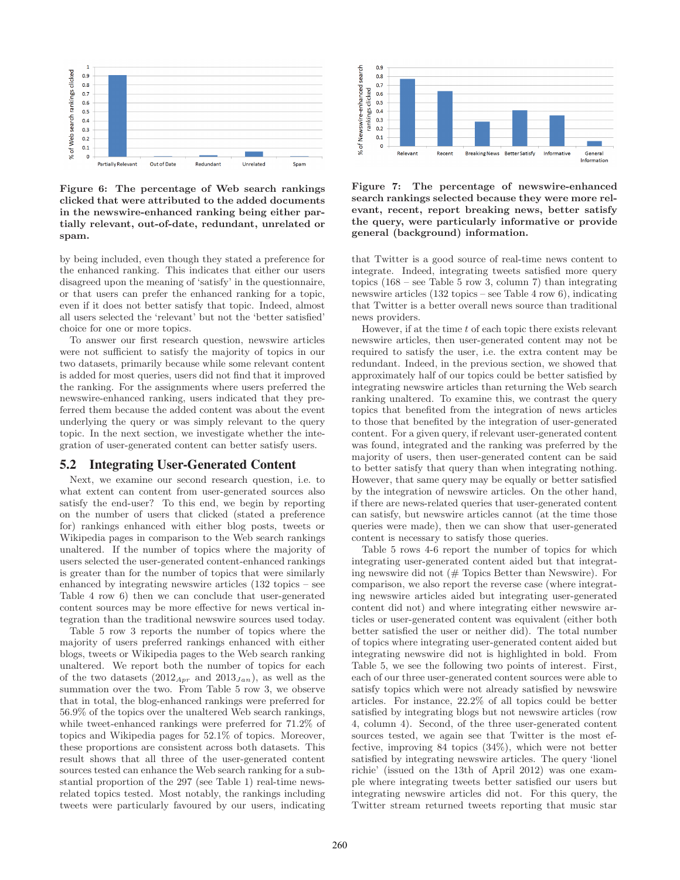

Figure 6: The percentage of Web search rankings clicked that were attributed to the added documents in the newswire-enhanced ranking being either partially relevant, out-of-date, redundant, unrelated or spam.

by being included, even though they stated a preference for the enhanced ranking. This indicates that either our users disagreed upon the meaning of 'satisfy' in the questionnaire, or that users can prefer the enhanced ranking for a topic, even if it does not better satisfy that topic. Indeed, almost all users selected the 'relevant' but not the 'better satisfied' choice for one or more topics.

To answer our first research question, newswire articles were not sufficient to satisfy the majority of topics in our two datasets, primarily because while some relevant content is added for most queries, users did not find that it improved the ranking. For the assignments where users preferred the newswire-enhanced ranking, users indicated that they preferred them because the added content was about the event underlying the query or was simply relevant to the query topic. In the next section, we investigate whether the integration of user-generated content can better satisfy users.

#### **5.2 Integrating User-Generated Content**

Next, we examine our second research question, i.e. to what extent can content from user-generated sources also satisfy the end-user? To this end, we begin by reporting on the number of users that clicked (stated a preference for) rankings enhanced with either blog posts, tweets or Wikipedia pages in comparison to the Web search rankings unaltered. If the number of topics where the majority of users selected the user-generated content-enhanced rankings is greater than for the number of topics that were similarly enhanced by integrating newswire articles (132 topics – see Table 4 row 6) then we can conclude that user-generated content sources may be more effective for news vertical integration than the traditional newswire sources used today.

Table 5 row 3 reports the number of topics where the majority of users preferred rankings enhanced with either blogs, tweets or Wikipedia pages to the Web search ranking unaltered. We report both the number of topics for each of the two datasets  $(2012_{Apr}$  and  $2013_{Jan})$ , as well as the summation over the two. From Table 5 row 3, we observe that in total, the blog-enhanced rankings were preferred for 56.9% of the topics over the unaltered Web search rankings, while tweet-enhanced rankings were preferred for 71.2% of topics and Wikipedia pages for 52.1% of topics. Moreover, these proportions are consistent across both datasets. This result shows that all three of the user-generated content sources tested can enhance the Web search ranking for a substantial proportion of the 297 (see Table 1) real-time newsrelated topics tested. Most notably, the rankings including tweets were particularly favoured by our users, indicating



Figure 7: The percentage of newswire-enhanced search rankings selected because they were more relevant, recent, report breaking news, better satisfy the query, were particularly informative or provide general (background) information.

that Twitter is a good source of real-time news content to integrate. Indeed, integrating tweets satisfied more query topics  $(168 - \text{see Table 5 row 3, column 7})$  than integrating newswire articles (132 topics – see Table 4 row 6), indicating that Twitter is a better overall news source than traditional news providers.

However, if at the time  $t$  of each topic there exists relevant newswire articles, then user-generated content may not be required to satisfy the user, i.e. the extra content may be redundant. Indeed, in the previous section, we showed that approximately half of our topics could be better satisfied by integrating newswire articles than returning the Web search ranking unaltered. To examine this, we contrast the query topics that benefited from the integration of news articles to those that benefited by the integration of user-generated content. For a given query, if relevant user-generated content was found, integrated and the ranking was preferred by the majority of users, then user-generated content can be said to better satisfy that query than when integrating nothing. However, that same query may be equally or better satisfied by the integration of newswire articles. On the other hand, if there are news-related queries that user-generated content can satisfy, but newswire articles cannot (at the time those queries were made), then we can show that user-generated content is necessary to satisfy those queries.

Table 5 rows 4-6 report the number of topics for which integrating user-generated content aided but that integrating newswire did not (# Topics Better than Newswire). For comparison, we also report the reverse case (where integrating newswire articles aided but integrating user-generated content did not) and where integrating either newswire articles or user-generated content was equivalent (either both better satisfied the user or neither did). The total number of topics where integrating user-generated content aided but integrating newswire did not is highlighted in bold. From Table 5, we see the following two points of interest. First, each of our three user-generated content sources were able to satisfy topics which were not already satisfied by newswire articles. For instance, 22.2% of all topics could be better satisfied by integrating blogs but not newswire articles (row 4, column 4). Second, of the three user-generated content sources tested, we again see that Twitter is the most effective, improving 84 topics (34%), which were not better satisfied by integrating newswire articles. The query 'lionel richie' (issued on the 13th of April 2012) was one example where integrating tweets better satisfied our users but integrating newswire articles did not. For this query, the Twitter stream returned tweets reporting that music star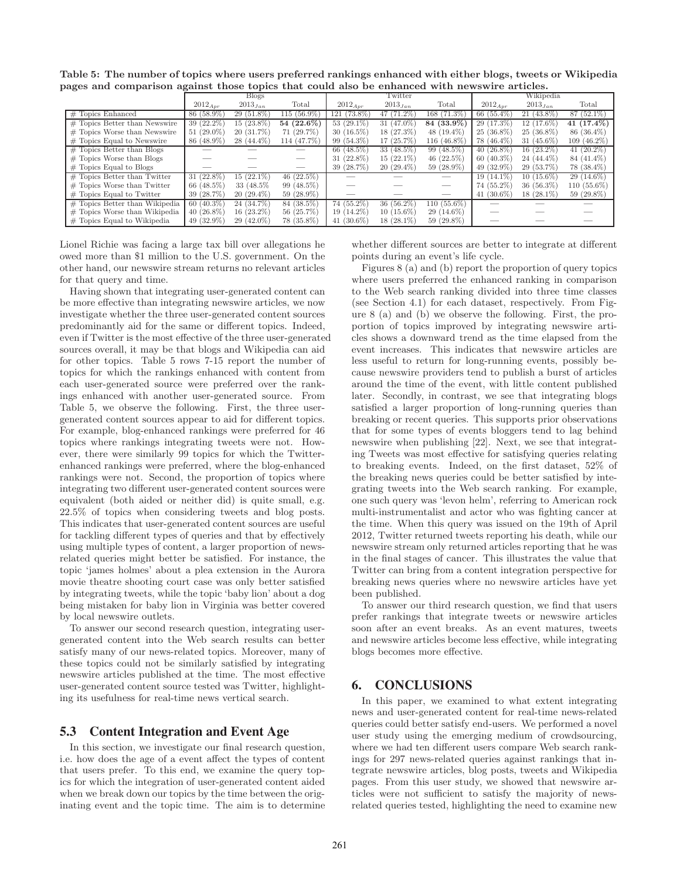Table 5: The number of topics where users preferred rankings enhanced with either blogs, tweets or Wikipedia pages and comparison against those topics that could also be enhanced with newswire articles.

|                                  | <b>Blogs</b> |              |               | Twitter       |               |               | Wikipedia     |              |               |
|----------------------------------|--------------|--------------|---------------|---------------|---------------|---------------|---------------|--------------|---------------|
|                                  | $2012_{Apr}$ | $2013_{Jan}$ | Total         | $2012_{Apr}$  | $2013_{Jan}$  | Total         | $2012_{Apr}$  | $2013_{Jan}$ | Total         |
| $#$ Topics Enhanced              | 86 (58.9%)   | $29(51.8\%)$ | 115 (56.9%)   | 121 (73.8%)   | 47 $(71.2\%)$ | 168 (71.3%)   | 66 $(55.4\%)$ | $21(43.8\%)$ | 87 (52.1%)    |
| $#$ Topics Better than Newswire  | $39(22.2\%)$ | 15 (23.8%)   | 54 $(22.6\%)$ | 53 $(29.1\%)$ | $31(47.0\%)$  | 84 (33.9%)    | $29(17.3\%)$  | $12(17.6\%)$ | 41 $(17.4\%)$ |
| $#$ Topics Worse than Newswire   | $51(29.0\%)$ | 20(31.7%)    | 71(29.7%)     | $30(16.5\%)$  | 18 (27.3%)    | 48 $(19.4\%)$ | $25(36.8\%)$  | $25(36.8\%)$ | 86 (36.4%)    |
| $#$ Topics Equal to Newswire     | 86 (48.9%)   | $28(44.4\%)$ | 114 (47.7%)   | 99 (54.3%)    | $17(25.7\%)$  | 116 (46.8%)   | 78 (46.4%)    | $31(45.6\%)$ | $109(46.2\%)$ |
| $#$ Topics Better than Blogs     |              |              |               | 66 $(48.5\%)$ | $33(48.5\%)$  | $99(48.5\%)$  | $40(26.8\%)$  | $16(23.2\%)$ | 41 $(20.2\%)$ |
| $#$ Topics Worse than Blogs      |              |              |               | $31(22.8\%)$  | $15(22.1\%)$  | 46 $(22.5\%)$ | $60(40.3\%)$  | $24(44.4\%)$ | 84 (41.4%)    |
| $#$ Topics Equal to Blogs        |              |              |               | 39 (28.7%)    | $20(29.4\%)$  | 59 (28.9%)    | 49 $(32.9\%)$ | $29(53.7\%)$ | 78 (38.4%)    |
| $#$ Topics Better than Twitter   | $31(22.8\%)$ | $15(22.1\%)$ | 46 $(22.5\%)$ |               |               | $-$           | $19(14.1\%)$  | $10(15.6\%)$ | $29(14.6\%)$  |
| $#$ Topics Worse than Twitter    | 66 (48.5%)   | 33 (48.5%)   | 99 (48.5%)    |               |               |               | 74 (55.2%)    | $36(56.3\%)$ | $110(55.6\%)$ |
| $#$ Topics Equal to Twitter      | 39 (28.7%)   | $20(29.4\%)$ | $59(28.9\%)$  |               |               |               | 41 $(30.6\%)$ | $18(28.1\%)$ | 59 (29.8%)    |
| $#$ Topics Better than Wikipedia | $60(40.3\%)$ | $24(34.7\%)$ | 84 (38.5%)    | 74 (55.2%)    | $36(56.2\%)$  | $110(55.6\%)$ |               |              |               |
| $#$ Topics Worse than Wikipedia  | $40(26.8\%)$ | 16 (23.2%)   | 56 (25.7%)    | $19(14.2\%)$  | $10(15.6\%)$  | $29(14.6\%)$  |               |              |               |
| $#$ Topics Equal to Wikipedia    | 49 (32.9%)   | $29(42.0\%)$ | 78 (35.8%)    | 41 $(30.6\%)$ | $18(28.1\%)$  | 59 (29.8%)    |               |              |               |

Lionel Richie was facing a large tax bill over allegations he owed more than \$1 million to the U.S. government. On the other hand, our newswire stream returns no relevant articles for that query and time.

Having shown that integrating user-generated content can be more effective than integrating newswire articles, we now investigate whether the three user-generated content sources predominantly aid for the same or different topics. Indeed, even if Twitter is the most effective of the three user-generated sources overall, it may be that blogs and Wikipedia can aid for other topics. Table 5 rows 7-15 report the number of topics for which the rankings enhanced with content from each user-generated source were preferred over the rankings enhanced with another user-generated source. From Table 5, we observe the following. First, the three usergenerated content sources appear to aid for different topics. For example, blog-enhanced rankings were preferred for 46 topics where rankings integrating tweets were not. However, there were similarly 99 topics for which the Twitterenhanced rankings were preferred, where the blog-enhanced rankings were not. Second, the proportion of topics where integrating two different user-generated content sources were equivalent (both aided or neither did) is quite small, e.g. 22.5% of topics when considering tweets and blog posts. This indicates that user-generated content sources are useful for tackling different types of queries and that by effectively using multiple types of content, a larger proportion of newsrelated queries might better be satisfied. For instance, the topic 'james holmes' about a plea extension in the Aurora movie theatre shooting court case was only better satisfied by integrating tweets, while the topic 'baby lion' about a dog being mistaken for baby lion in Virginia was better covered by local newswire outlets.

To answer our second research question, integrating usergenerated content into the Web search results can better satisfy many of our news-related topics. Moreover, many of these topics could not be similarly satisfied by integrating newswire articles published at the time. The most effective user-generated content source tested was Twitter, highlighting its usefulness for real-time news vertical search.

#### **5.3 Content Integration and Event Age**

In this section, we investigate our final research question, i.e. how does the age of a event affect the types of content that users prefer. To this end, we examine the query topics for which the integration of user-generated content aided when we break down our topics by the time between the originating event and the topic time. The aim is to determine

whether different sources are better to integrate at different points during an event's life cycle.

Figures 8 (a) and (b) report the proportion of query topics where users preferred the enhanced ranking in comparison to the Web search ranking divided into three time classes (see Section 4.1) for each dataset, respectively. From Figure 8 (a) and (b) we observe the following. First, the proportion of topics improved by integrating newswire articles shows a downward trend as the time elapsed from the event increases. This indicates that newswire articles are less useful to return for long-running events, possibly because newswire providers tend to publish a burst of articles around the time of the event, with little content published later. Secondly, in contrast, we see that integrating blogs satisfied a larger proportion of long-running queries than breaking or recent queries. This supports prior observations that for some types of events bloggers tend to lag behind newswire when publishing [22]. Next, we see that integrating Tweets was most effective for satisfying queries relating to breaking events. Indeed, on the first dataset, 52% of the breaking news queries could be better satisfied by integrating tweets into the Web search ranking. For example, one such query was 'levon helm', referring to American rock multi-instrumentalist and actor who was fighting cancer at the time. When this query was issued on the 19th of April 2012, Twitter returned tweets reporting his death, while our newswire stream only returned articles reporting that he was in the final stages of cancer. This illustrates the value that Twitter can bring from a content integration perspective for breaking news queries where no newswire articles have yet been published.

To answer our third research question, we find that users prefer rankings that integrate tweets or newswire articles soon after an event breaks. As an event matures, tweets and newswire articles become less effective, while integrating blogs becomes more effective.

# **6. CONCLUSIONS**

In this paper, we examined to what extent integrating news and user-generated content for real-time news-related queries could better satisfy end-users. We performed a novel user study using the emerging medium of crowdsourcing, where we had ten different users compare Web search rankings for 297 news-related queries against rankings that integrate newswire articles, blog posts, tweets and Wikipedia pages. From this user study, we showed that newswire articles were not sufficient to satisfy the majority of newsrelated queries tested, highlighting the need to examine new